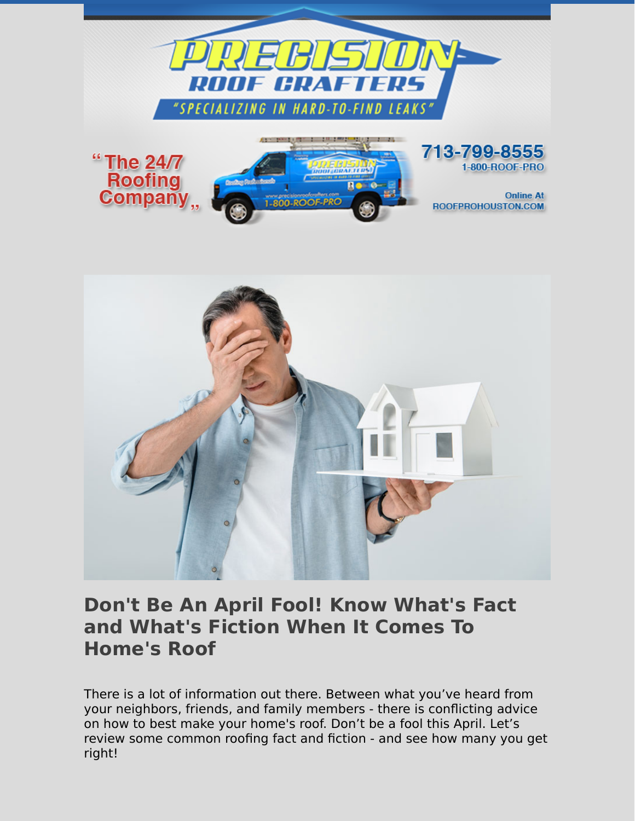



## **Don't Be An April Fool! Know What's Fact and What's Fiction When It Comes To Home's Roof**

There is a lot of information out there. Between what you've heard from your neighbors, friends, and family members - there is conflicting advice on how to best make your home's roof. Don't be a fool this April. Let's review some common roofing fact and fiction - and see how many you get right!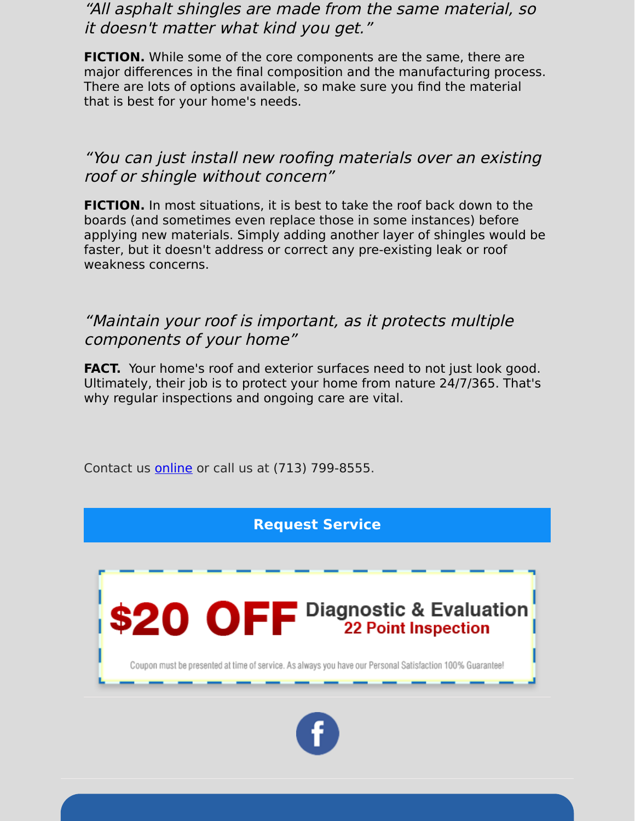"All asphalt shingles are made from the same material, so it doesn't matter what kind you get."

**FICTION.** While some of the core components are the same, there are major differences in the final composition and the manufacturing process. There are lots of options available, so make sure you find the material that is best for your home's needs.

## "You can just install new roofing materials over an existing roof or shingle without concern"

**FICTION.** In most situations, it is best to take the roof back down to the boards (and sometimes even replace those in some instances) before applying new materials. Simply adding another layer of shingles would be faster, but it doesn't address or correct any pre-existing leak or roof weakness concerns.

## "Maintain your roof is important, as it protects multiple components of your home"

FACT. Your home's roof and exterior surfaces need to not just look good. Ultimately, their job is to protect your home from nature 24/7/365. That's why regular inspections and ongoing care are vital.

Contact us [online](https://www.precisionroofcrafters.com/contact-us.php) or call us at [\(713\) 799-8555.](tel:+17137998555)